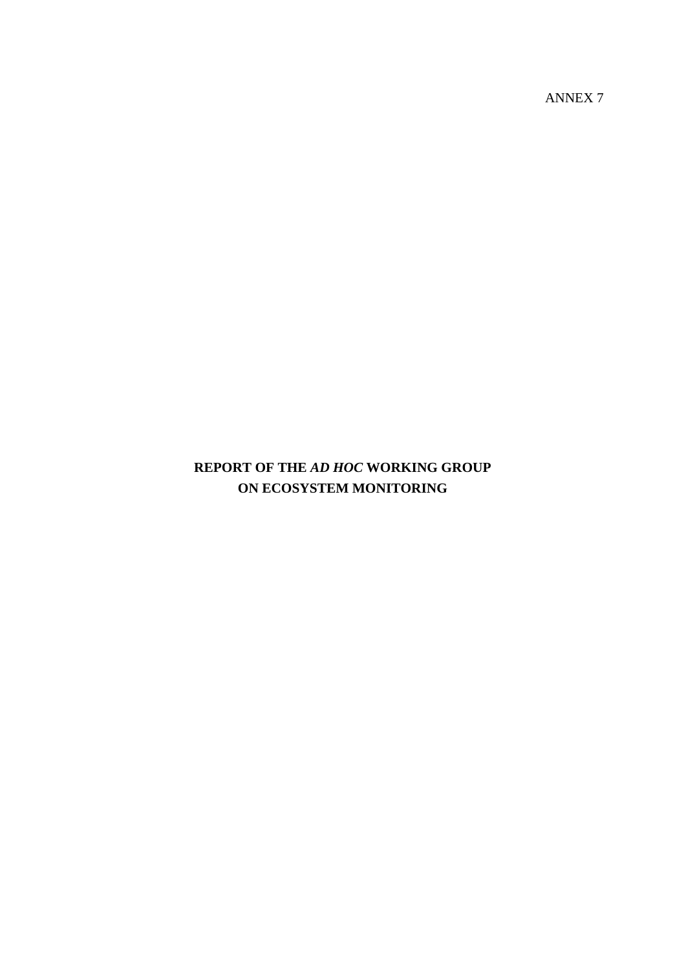**REPORT OF THE** *AD HOC* **WORKING GROUP ON ECOSYSTEM MONITORING**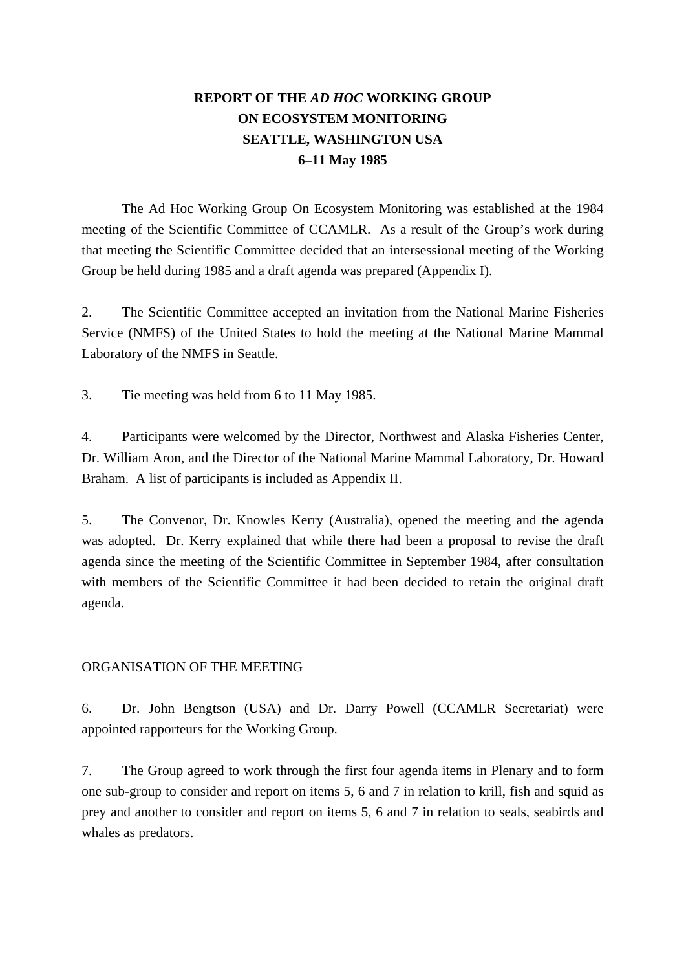# **REPORT OF THE** *AD HOC* **WORKING GROUP ON ECOSYSTEM MONITORING SEATTLE, WASHINGTON USA 6–11 May 1985**

 The Ad Hoc Working Group On Ecosystem Monitoring was established at the 1984 meeting of the Scientific Committee of CCAMLR. As a result of the Group's work during that meeting the Scientific Committee decided that an intersessional meeting of the Working Group be held during 1985 and a draft agenda was prepared (Appendix I).

2. The Scientific Committee accepted an invitation from the National Marine Fisheries Service (NMFS) of the United States to hold the meeting at the National Marine Mammal Laboratory of the NMFS in Seattle.

3. Tie meeting was held from 6 to 11 May 1985.

4. Participants were welcomed by the Director, Northwest and Alaska Fisheries Center, Dr. William Aron, and the Director of the National Marine Mammal Laboratory, Dr. Howard Braham. A list of participants is included as Appendix II.

5. The Convenor, Dr. Knowles Kerry (Australia), opened the meeting and the agenda was adopted. Dr. Kerry explained that while there had been a proposal to revise the draft agenda since the meeting of the Scientific Committee in September 1984, after consultation with members of the Scientific Committee it had been decided to retain the original draft agenda.

# ORGANISATION OF THE MEETING

6. Dr. John Bengtson (USA) and Dr. Darry Powell (CCAMLR Secretariat) were appointed rapporteurs for the Working Group.

7. The Group agreed to work through the first four agenda items in Plenary and to form one sub-group to consider and report on items 5, 6 and 7 in relation to krill, fish and squid as prey and another to consider and report on items 5, 6 and 7 in relation to seals, seabirds and whales as predators.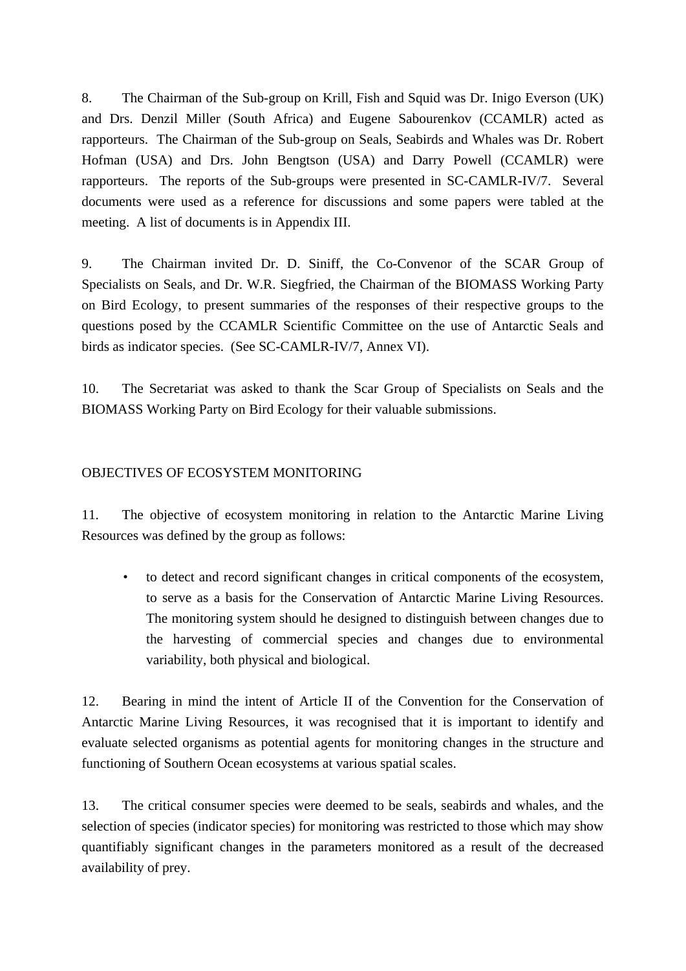8. The Chairman of the Sub-group on Krill, Fish and Squid was Dr. Inigo Everson (UK) and Drs. Denzil Miller (South Africa) and Eugene Sabourenkov (CCAMLR) acted as rapporteurs. The Chairman of the Sub-group on Seals, Seabirds and Whales was Dr. Robert Hofman (USA) and Drs. John Bengtson (USA) and Darry Powell (CCAMLR) were rapporteurs. The reports of the Sub-groups were presented in SC-CAMLR-IV/7. Several documents were used as a reference for discussions and some papers were tabled at the meeting. A list of documents is in Appendix III.

9. The Chairman invited Dr. D. Siniff, the Co-Convenor of the SCAR Group of Specialists on Seals, and Dr. W.R. Siegfried, the Chairman of the BIOMASS Working Party on Bird Ecology, to present summaries of the responses of their respective groups to the questions posed by the CCAMLR Scientific Committee on the use of Antarctic Seals and birds as indicator species. (See SC-CAMLR-IV/7, Annex VI).

10. The Secretariat was asked to thank the Scar Group of Specialists on Seals and the BIOMASS Working Party on Bird Ecology for their valuable submissions.

# OBJECTIVES OF ECOSYSTEM MONITORING

11. The objective of ecosystem monitoring in relation to the Antarctic Marine Living Resources was defined by the group as follows:

• to detect and record significant changes in critical components of the ecosystem, to serve as a basis for the Conservation of Antarctic Marine Living Resources. The monitoring system should he designed to distinguish between changes due to the harvesting of commercial species and changes due to environmental variability, both physical and biological.

12. Bearing in mind the intent of Article II of the Convention for the Conservation of Antarctic Marine Living Resources, it was recognised that it is important to identify and evaluate selected organisms as potential agents for monitoring changes in the structure and functioning of Southern Ocean ecosystems at various spatial scales.

13. The critical consumer species were deemed to be seals, seabirds and whales, and the selection of species (indicator species) for monitoring was restricted to those which may show quantifiably significant changes in the parameters monitored as a result of the decreased availability of prey.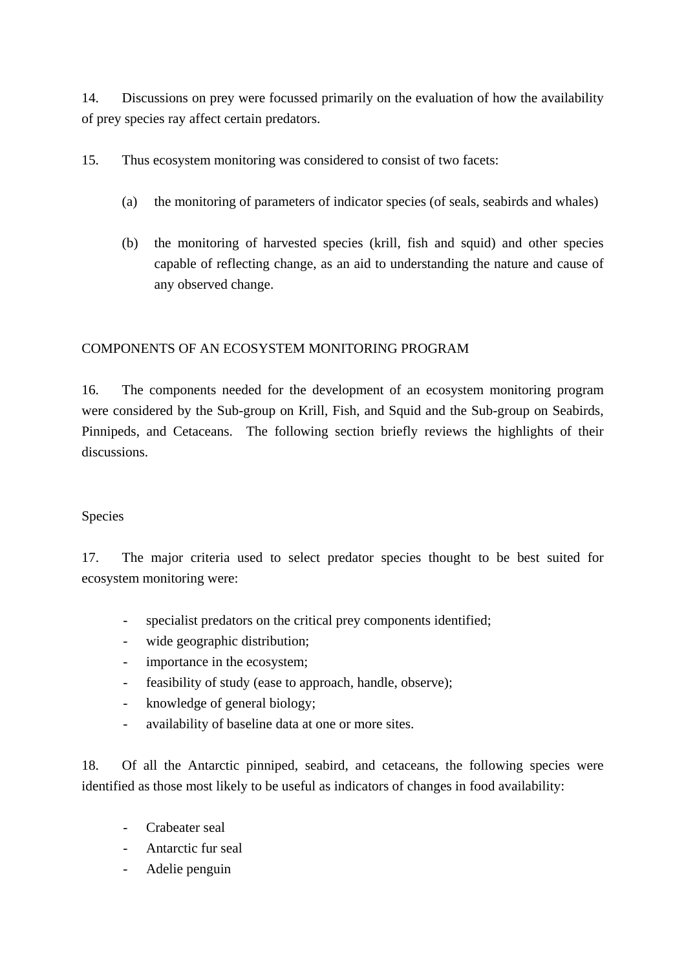14. Discussions on prey were focussed primarily on the evaluation of how the availability of prey species ray affect certain predators.

15. Thus ecosystem monitoring was considered to consist of two facets:

- (a) the monitoring of parameters of indicator species (of seals, seabirds and whales)
- (b) the monitoring of harvested species (krill, fish and squid) and other species capable of reflecting change, as an aid to understanding the nature and cause of any observed change.

# COMPONENTS OF AN ECOSYSTEM MONITORING PROGRAM

16. The components needed for the development of an ecosystem monitoring program were considered by the Sub-group on Krill, Fish, and Squid and the Sub-group on Seabirds, Pinnipeds, and Cetaceans. The following section briefly reviews the highlights of their discussions.

# Species

17. The major criteria used to select predator species thought to be best suited for ecosystem monitoring were:

- specialist predators on the critical prey components identified;
- wide geographic distribution;
- importance in the ecosystem;
- feasibility of study (ease to approach, handle, observe);
- knowledge of general biology;
- availability of baseline data at one or more sites.

18. Of all the Antarctic pinniped, seabird, and cetaceans, the following species were identified as those most likely to be useful as indicators of changes in food availability:

- Crabeater seal
- Antarctic fur seal
- Adelie penguin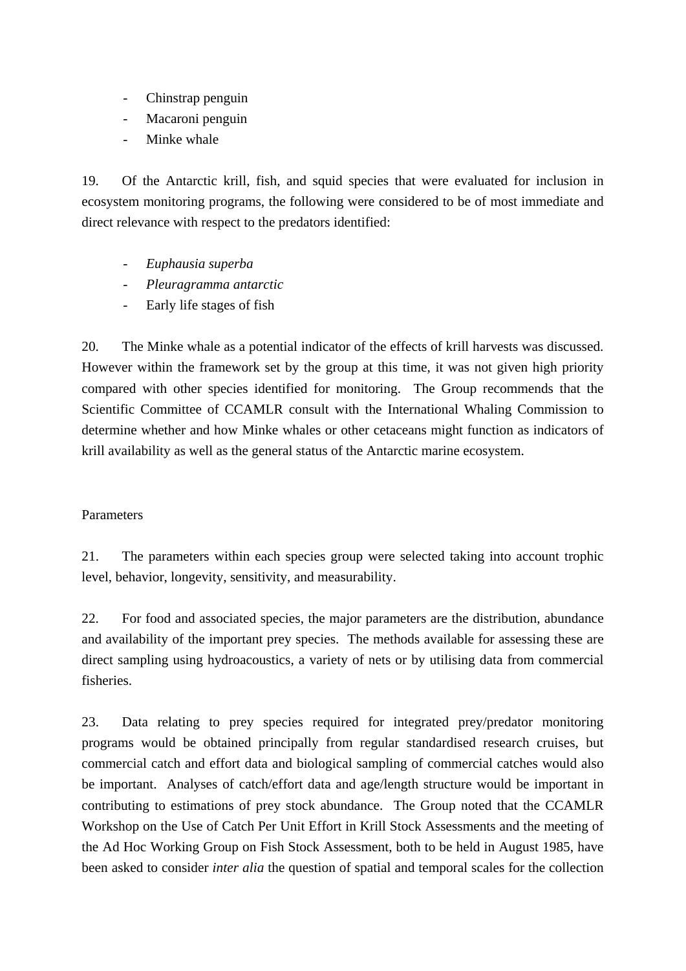- Chinstrap penguin
- Macaroni penguin
- Minke whale

19. Of the Antarctic krill, fish, and squid species that were evaluated for inclusion in ecosystem monitoring programs, the following were considered to be of most immediate and direct relevance with respect to the predators identified:

- *Euphausia superba*
- *Pleuragramma antarctic*
- Early life stages of fish

20. The Minke whale as a potential indicator of the effects of krill harvests was discussed. However within the framework set by the group at this time, it was not given high priority compared with other species identified for monitoring. The Group recommends that the Scientific Committee of CCAMLR consult with the International Whaling Commission to determine whether and how Minke whales or other cetaceans might function as indicators of krill availability as well as the general status of the Antarctic marine ecosystem.

# Parameters

21. The parameters within each species group were selected taking into account trophic level, behavior, longevity, sensitivity, and measurability.

22. For food and associated species, the major parameters are the distribution, abundance and availability of the important prey species. The methods available for assessing these are direct sampling using hydroacoustics, a variety of nets or by utilising data from commercial fisheries.

23. Data relating to prey species required for integrated prey/predator monitoring programs would be obtained principally from regular standardised research cruises, but commercial catch and effort data and biological sampling of commercial catches would also be important. Analyses of catch/effort data and age/length structure would be important in contributing to estimations of prey stock abundance. The Group noted that the CCAMLR Workshop on the Use of Catch Per Unit Effort in Krill Stock Assessments and the meeting of the Ad Hoc Working Group on Fish Stock Assessment, both to be held in August 1985, have been asked to consider *inter alia* the question of spatial and temporal scales for the collection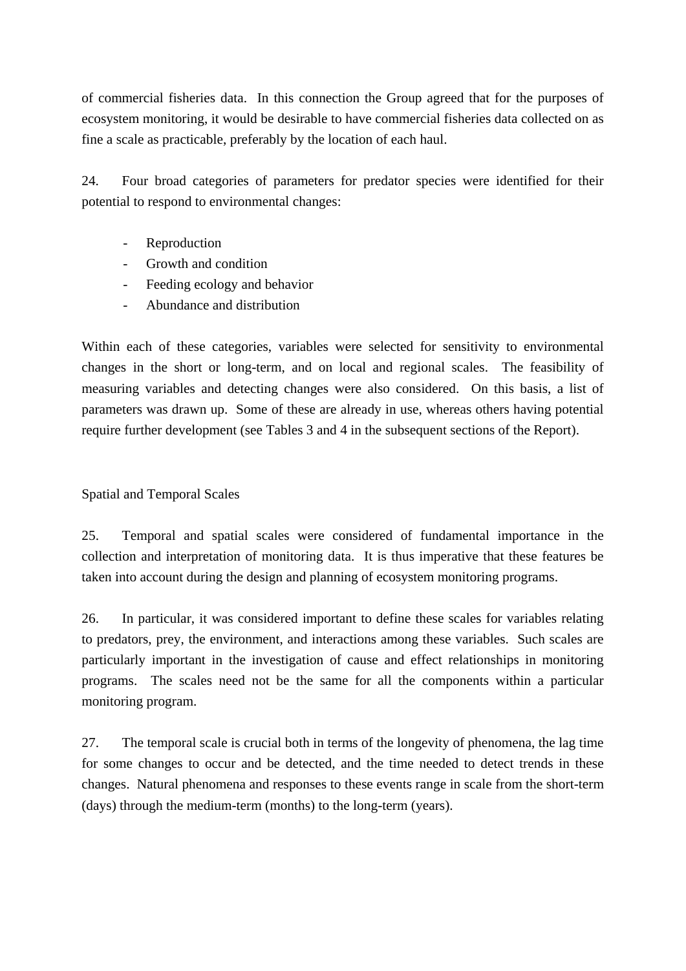of commercial fisheries data. In this connection the Group agreed that for the purposes of ecosystem monitoring, it would be desirable to have commercial fisheries data collected on as fine a scale as practicable, preferably by the location of each haul.

24. Four broad categories of parameters for predator species were identified for their potential to respond to environmental changes:

- Reproduction
- Growth and condition
- Feeding ecology and behavior
- Abundance and distribution

Within each of these categories, variables were selected for sensitivity to environmental changes in the short or long-term, and on local and regional scales. The feasibility of measuring variables and detecting changes were also considered. On this basis, a list of parameters was drawn up. Some of these are already in use, whereas others having potential require further development (see Tables 3 and 4 in the subsequent sections of the Report).

# Spatial and Temporal Scales

25. Temporal and spatial scales were considered of fundamental importance in the collection and interpretation of monitoring data. It is thus imperative that these features be taken into account during the design and planning of ecosystem monitoring programs.

26. In particular, it was considered important to define these scales for variables relating to predators, prey, the environment, and interactions among these variables. Such scales are particularly important in the investigation of cause and effect relationships in monitoring programs. The scales need not be the same for all the components within a particular monitoring program.

27. The temporal scale is crucial both in terms of the longevity of phenomena, the lag time for some changes to occur and be detected, and the time needed to detect trends in these changes. Natural phenomena and responses to these events range in scale from the short-term (days) through the medium-term (months) to the long-term (years).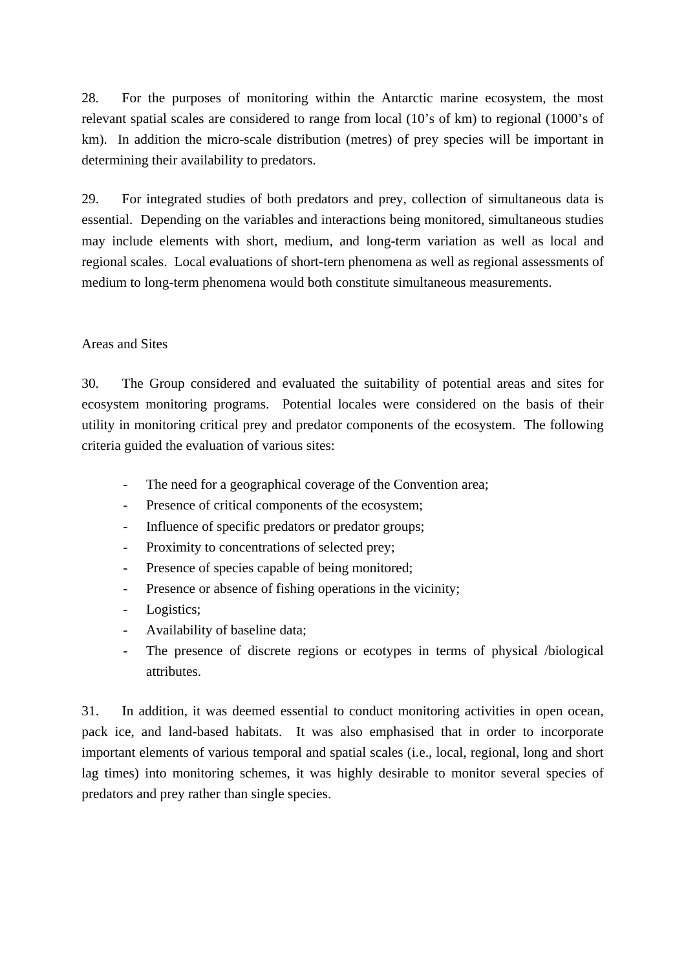28. For the purposes of monitoring within the Antarctic marine ecosystem, the most relevant spatial scales are considered to range from local (10's of km) to regional (1000's of km). In addition the micro-scale distribution (metres) of prey species will be important in determining their availability to predators.

29. For integrated studies of both predators and prey, collection of simultaneous data is essential. Depending on the variables and interactions being monitored, simultaneous studies may include elements with short, medium, and long-term variation as well as local and regional scales. Local evaluations of short-tern phenomena as well as regional assessments of medium to long-term phenomena would both constitute simultaneous measurements.

## Areas and Sites

30. The Group considered and evaluated the suitability of potential areas and sites for ecosystem monitoring programs. Potential locales were considered on the basis of their utility in monitoring critical prey and predator components of the ecosystem. The following criteria guided the evaluation of various sites:

- The need for a geographical coverage of the Convention area;
- Presence of critical components of the ecosystem;
- Influence of specific predators or predator groups;
- Proximity to concentrations of selected prey;
- Presence of species capable of being monitored;
- Presence or absence of fishing operations in the vicinity;
- Logistics;
- Availability of baseline data;
- The presence of discrete regions or ecotypes in terms of physical /biological attributes.

31. In addition, it was deemed essential to conduct monitoring activities in open ocean, pack ice, and land-based habitats. It was also emphasised that in order to incorporate important elements of various temporal and spatial scales (i.e., local, regional, long and short lag times) into monitoring schemes, it was highly desirable to monitor several species of predators and prey rather than single species.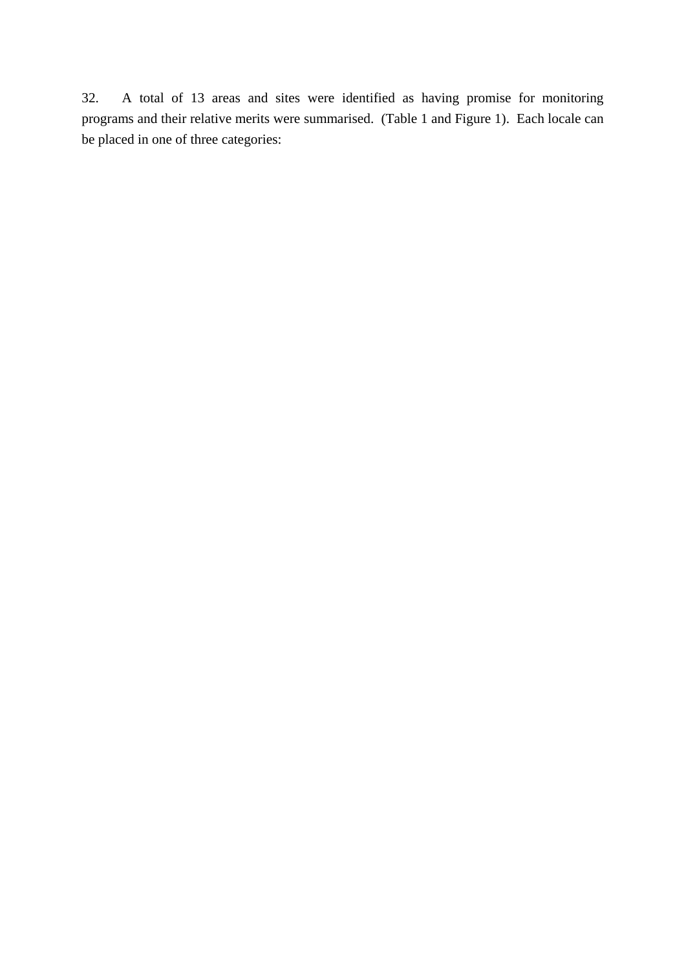32. A total of 13 areas and sites were identified as having promise for monitoring programs and their relative merits were summarised. (Table 1 and Figure 1). Each locale can be placed in one of three categories: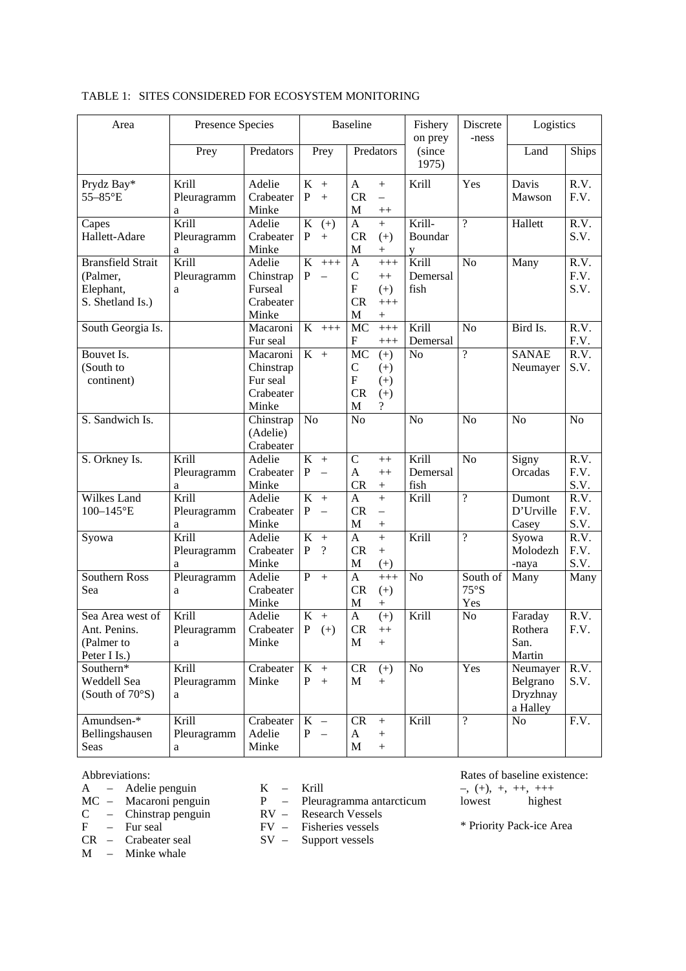| Area                                                                  | Presence Species          |                                                                      |                                                                      | <b>Baseline</b>                                                 |                                                    | Fishery<br>on prey        | Discrete<br>-ness       | Logistics                                    |                      |
|-----------------------------------------------------------------------|---------------------------|----------------------------------------------------------------------|----------------------------------------------------------------------|-----------------------------------------------------------------|----------------------------------------------------|---------------------------|-------------------------|----------------------------------------------|----------------------|
|                                                                       | Prey                      | Predators                                                            | Prey                                                                 | Predators                                                       |                                                    | (since<br>1975)           |                         | Land                                         | Ships                |
| Prydz Bay*<br>55-85°E                                                 | Krill<br>Pleuragramm<br>a | Adelie<br>Crabeater<br>Minke                                         | $K +$<br>P<br>$+$                                                    | $\mathbf{A}$<br>CR<br>M                                         | $^{+}$<br>$\overline{\phantom{0}}$<br>$^{++}$      | Krill                     | Yes                     | Davis<br>Mawson                              | R.V.<br>F.V.         |
| Capes<br>Hallett-Adare                                                | Krill<br>Pleuragramm<br>a | Adelie<br>Crabeater<br>Minke                                         | $\bf K$<br>$(+)$<br>P<br>$+$                                         | $\mathbf{A}$<br><b>CR</b><br>$\mathbf M$                        | $\ddot{}$<br>$(+)$<br>$\! + \!$                    | Krill-<br>Boundar<br>y    | $\overline{?}$          | Hallett                                      | R.V.<br>S.V.         |
| <b>Bransfield Strait</b><br>(Palmer,<br>Elephant,<br>S. Shetland Is.) | Krill<br>Pleuragramm<br>a | Adelie<br>Chinstrap<br>Furseal<br>Crabeater<br>Minke                 | K<br>$+++$<br>$\mathbf{P}$<br>$\equiv$                               | $\mathbf{A}$<br>$\mathcal{C}$<br>${\bf F}$<br>CR<br>$\mathbf M$ | $+++$<br>$++$<br>$(+)$<br>$+++$                    | Krill<br>Demersal<br>fish | N <sub>o</sub>          | Many                                         | R.V.<br>F.V.<br>S.V. |
| South Georgia Is.                                                     |                           | Macaroni<br>Fur seal                                                 | $K$ +++                                                              | MC<br>F                                                         | $^{+++}$<br>$+++$                                  | Krill<br>Demersal         | N <sub>o</sub>          | Bird Is.                                     | R.V.<br>F.V.         |
| Bouvet Is.<br>(South to<br>continent)                                 |                           | Macaroni<br>Chinstrap<br>Fur seal<br>Crabeater<br>Minke              | $K +$                                                                | MC<br>$\mathcal{C}$<br>$\boldsymbol{\mathrm{F}}$<br>CR<br>M     | $(+)$<br>$(+)$<br>$(+)$<br>$(+)$<br>$\overline{?}$ | N <sub>o</sub>            | $\overline{?}$          | <b>SANAE</b><br>Neumayer                     | R.V.<br>S.V.         |
| S. Sandwich Is.                                                       |                           | Chinstrap<br>(Adelie)<br>Crabeater                                   | N <sub>o</sub>                                                       | No                                                              |                                                    | No                        | N <sub>o</sub>          | N <sub>o</sub>                               | N <sub>o</sub>       |
| S. Orkney Is.                                                         | Krill<br>Pleuragramm<br>a | Adelie<br>Crabeater<br>Minke                                         | K<br>$+$<br>P<br>$\overline{\phantom{0}}$                            | $\mathbf C$<br>A<br>CR                                          | $++$<br>$++$<br>$\ddot{}$                          | Krill<br>Demersal<br>fish | N <sub>o</sub>          | Signy<br>Orcadas                             | R.V.<br>F.V.<br>S.V. |
| Wilkes Land<br>100-145°E                                              | Krill<br>Pleuragramm<br>a | Adelie<br>Crabeater<br>Minke                                         | K<br>$+$<br>P<br>$\equiv$                                            | $\mathbf{A}$<br>CR<br>$\mathbf M$                               | $+$<br>$\equiv$                                    | Krill                     | $\overline{?}$          | Dumont<br>D'Urville<br>Casey                 | R.V.<br>F.V.<br>S.V. |
| Syowa                                                                 | Krill<br>Pleuragramm<br>a | Adelie<br>Crabeater<br>Minke                                         | K<br>$+$<br>P<br>$\gamma$                                            | $\mathbf{A}$<br><b>CR</b><br>$\mathbf M$                        | $^{+}$<br>$+$<br>$(+)$                             | Krill                     | $\overline{?}$          | Syowa<br>Molodezh<br>-naya                   | R.V.<br>F.V.<br>S.V. |
| Southern Ross<br>Sea                                                  | Pleuragramm<br>a          | Adelie<br>Crabeater<br>Minke                                         | $P +$                                                                | $\mathbf{A}$<br>CR<br>$\mathbf M$                               | $+++$<br>$(+)$<br>$^{+}$                           | No                        | South of<br>75°S<br>Yes | Many                                         | Many                 |
| Sea Area west of<br>Ant. Penins.<br>(Palmer to<br>Peter I Is.)        | Krill<br>Pleuragramm<br>a | Adelie<br>Crabeater $\begin{vmatrix} P & (+) \end{vmatrix}$<br>Minke | $K +$                                                                | $\mathbf{A}$<br>${\sf CR}$<br>M                                 | $(+)$<br>$^{++}$<br>$+$                            | Krill                     | N <sub>o</sub>          | Faraday<br>Rothera<br>San.<br>Martin         | R.V.<br>F.V.         |
| Southern*<br>Weddell Sea<br>(South of $70°S$ )                        | Krill<br>Pleuragramm<br>a | Crabeater<br>Minke                                                   | $K +$<br>P<br>$+$                                                    | CR<br>M                                                         | $(+)$<br>$+$                                       | No                        | Yes                     | Neumayer<br>Belgrano<br>Dryzhnay<br>a Halley | R.V.<br>S.V.         |
| Amundsen-*<br>Bellingshausen<br>Seas                                  | Krill<br>Pleuragramm<br>a | Crabeater<br>Adelie<br>Minke                                         | $\bf K$<br>$\overline{\phantom{m}}$<br>P<br>$\overline{\phantom{m}}$ | CR<br>$\mathbf{A}$<br>M                                         | $\boldsymbol{+}$<br>$+$<br>$\boldsymbol{+}$        | Krill                     | $\overline{?}$          | No                                           | F.V.                 |

#### TABLE 1: SITES CONSIDERED FOR ECOSYSTEM MONITORING

#### Abbreviations:

- A Adelie penguin K Krill
- 
- 
- 
- $M -$  Minke whale
- 
- $P$  Pleuragramma antarcticum<br>RV Research Vessels
- C Chinstrap penguin RV Research Vessels
- F Fur seal FV Fisheries vessels
- CR Crabeater seal SV Support vessels

Rates of baseline existence:  $-$ ,  $(+)$ ,  $+$ ,  $++$ ,  $++$ <br>lowest highes  $highest$ 

\* Priority Pack-ice Area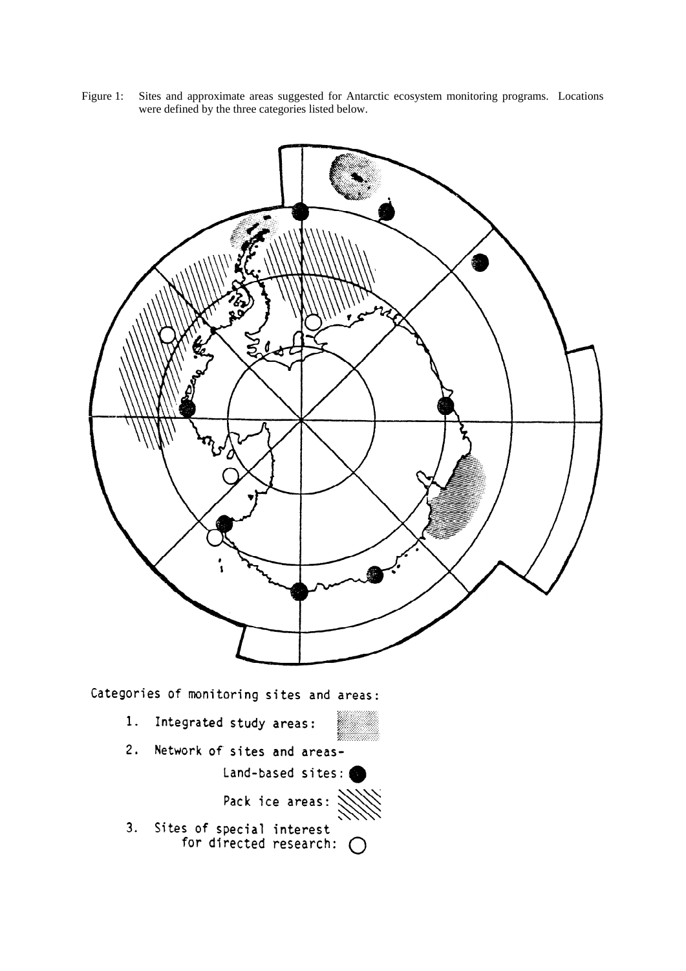

Figure 1: Sites and approximate areas suggested for Antarctic ecosystem monitoring programs. Locations were defined by the three categories listed below.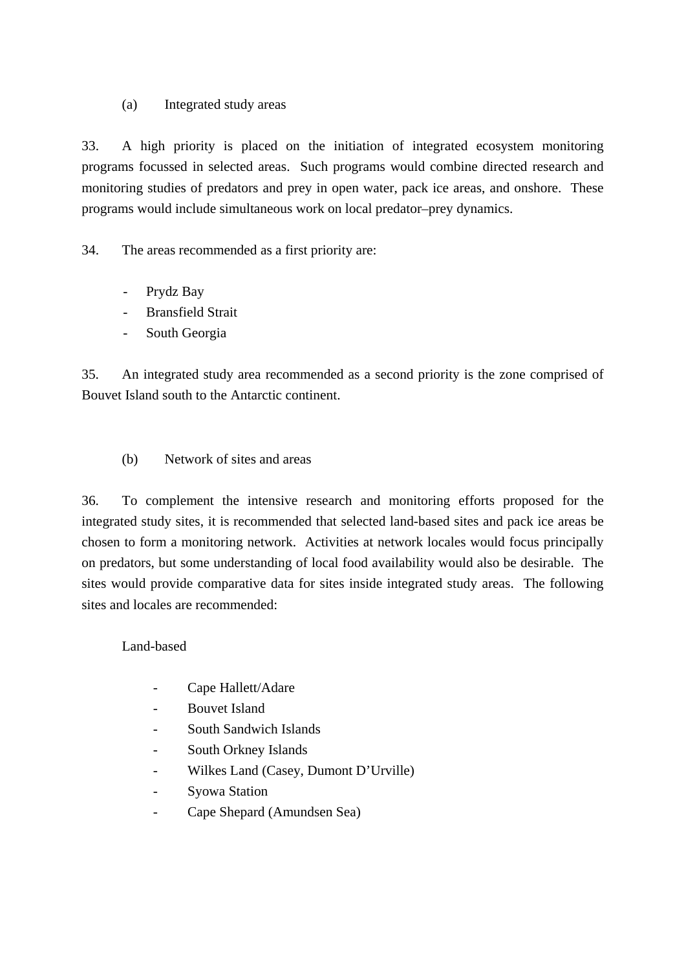# (a) Integrated study areas

33. A high priority is placed on the initiation of integrated ecosystem monitoring programs focussed in selected areas. Such programs would combine directed research and monitoring studies of predators and prey in open water, pack ice areas, and onshore. These programs would include simultaneous work on local predator–prey dynamics.

34. The areas recommended as a first priority are:

- Prydz Bay
- Bransfield Strait
- South Georgia

35. An integrated study area recommended as a second priority is the zone comprised of Bouvet Island south to the Antarctic continent.

(b) Network of sites and areas

36. To complement the intensive research and monitoring efforts proposed for the integrated study sites, it is recommended that selected land-based sites and pack ice areas be chosen to form a monitoring network. Activities at network locales would focus principally on predators, but some understanding of local food availability would also be desirable. The sites would provide comparative data for sites inside integrated study areas. The following sites and locales are recommended:

# Land-based

- Cape Hallett/Adare
- Bouvet Island
- South Sandwich Islands
- South Orkney Islands
- Wilkes Land (Casey, Dumont D'Urville)
- Syowa Station
- Cape Shepard (Amundsen Sea)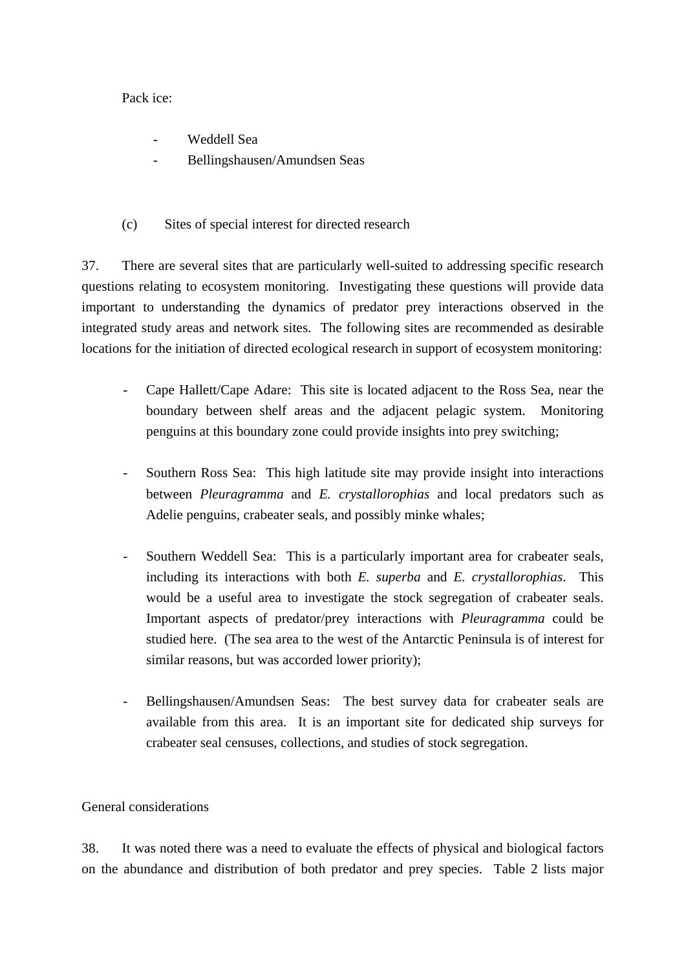## Pack ice:

- Weddell Sea
- Bellingshausen/Amundsen Seas
- (c) Sites of special interest for directed research

37. There are several sites that are particularly well-suited to addressing specific research questions relating to ecosystem monitoring. Investigating these questions will provide data important to understanding the dynamics of predator prey interactions observed in the integrated study areas and network sites. The following sites are recommended as desirable locations for the initiation of directed ecological research in support of ecosystem monitoring:

- Cape Hallett/Cape Adare: This site is located adjacent to the Ross Sea, near the boundary between shelf areas and the adjacent pelagic system. Monitoring penguins at this boundary zone could provide insights into prey switching;
- Southern Ross Sea: This high latitude site may provide insight into interactions between *Pleuragramma* and *E. crystallorophias* and local predators such as Adelie penguins, crabeater seals, and possibly minke whales;
- Southern Weddell Sea: This is a particularly important area for crabeater seals, including its interactions with both *E. superba* and *E. crystallorophias*. This would be a useful area to investigate the stock segregation of crabeater seals. Important aspects of predator/prey interactions with *Pleuragramma* could be studied here. (The sea area to the west of the Antarctic Peninsula is of interest for similar reasons, but was accorded lower priority);
- Bellingshausen/Amundsen Seas: The best survey data for crabeater seals are available from this area. It is an important site for dedicated ship surveys for crabeater seal censuses, collections, and studies of stock segregation.

## General considerations

38. It was noted there was a need to evaluate the effects of physical and biological factors on the abundance and distribution of both predator and prey species. Table 2 lists major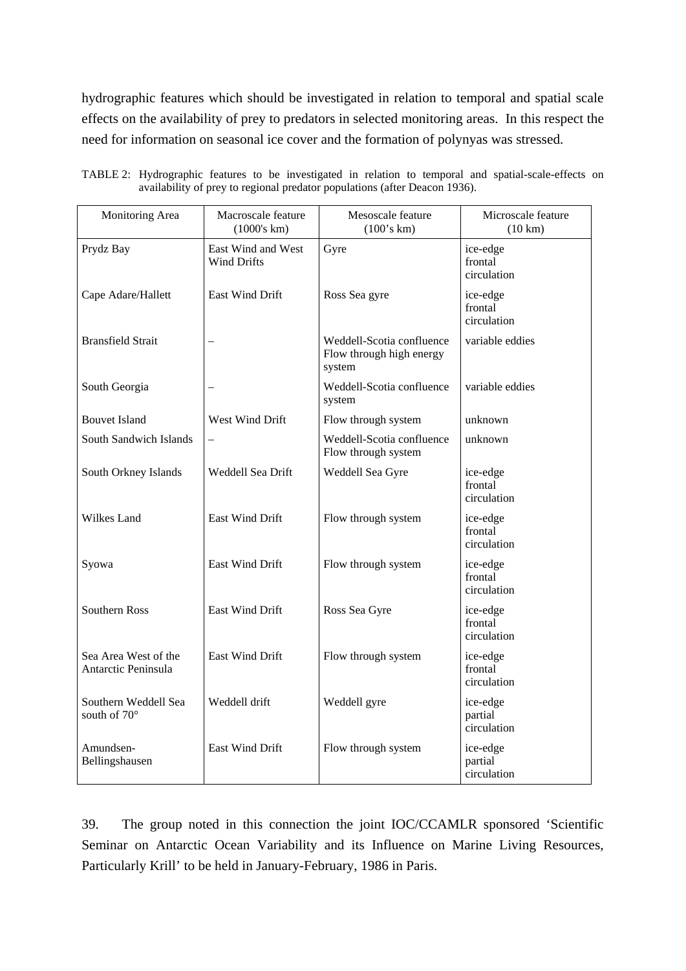hydrographic features which should be investigated in relation to temporal and spatial scale effects on the availability of prey to predators in selected monitoring areas. In this respect the need for information on seasonal ice cover and the formation of polynyas was stressed.

| Monitoring Area                             | Macroscale feature<br>(1000's km)        | Mesoscale feature<br>(100's km)                                 | Microscale feature<br>$(10 \text{ km})$ |
|---------------------------------------------|------------------------------------------|-----------------------------------------------------------------|-----------------------------------------|
| Prydz Bay                                   | East Wind and West<br><b>Wind Drifts</b> | Gyre                                                            | ice-edge<br>frontal<br>circulation      |
| Cape Adare/Hallett                          | East Wind Drift                          | Ross Sea gyre                                                   | ice-edge<br>frontal<br>circulation      |
| <b>Bransfield Strait</b>                    | $\equiv$                                 | Weddell-Scotia confluence<br>Flow through high energy<br>system | variable eddies                         |
| South Georgia                               |                                          | Weddell-Scotia confluence<br>system                             | variable eddies                         |
| <b>Bouvet Island</b>                        | West Wind Drift                          | Flow through system                                             | unknown                                 |
| South Sandwich Islands                      | $\overline{\phantom{0}}$                 | Weddell-Scotia confluence<br>Flow through system                | unknown                                 |
| South Orkney Islands                        | Weddell Sea Drift                        | Weddell Sea Gyre                                                | ice-edge<br>frontal<br>circulation      |
| Wilkes Land                                 | <b>East Wind Drift</b>                   | Flow through system                                             | ice-edge<br>frontal<br>circulation      |
| Syowa                                       | East Wind Drift                          | Flow through system                                             | ice-edge<br>frontal<br>circulation      |
| <b>Southern Ross</b>                        | East Wind Drift                          | Ross Sea Gyre                                                   | ice-edge<br>frontal<br>circulation      |
| Sea Area West of the<br>Antarctic Peninsula | <b>East Wind Drift</b>                   | Flow through system                                             | ice-edge<br>frontal<br>circulation      |
| Southern Weddell Sea<br>south of 70°        | Weddell drift                            | Weddell gyre                                                    | ice-edge<br>partial<br>circulation      |
| Amundsen-<br>Bellingshausen                 | East Wind Drift                          | Flow through system                                             | ice-edge<br>partial<br>circulation      |

|                                                                            |  |  |  |  | TABLE 2: Hydrographic features to be investigated in relation to temporal and spatial-scale-effects on |  |
|----------------------------------------------------------------------------|--|--|--|--|--------------------------------------------------------------------------------------------------------|--|
| availability of prey to regional predator populations (after Deacon 1936). |  |  |  |  |                                                                                                        |  |

39. The group noted in this connection the joint IOC/CCAMLR sponsored 'Scientific Seminar on Antarctic Ocean Variability and its Influence on Marine Living Resources, Particularly Krill' to be held in January-February, 1986 in Paris.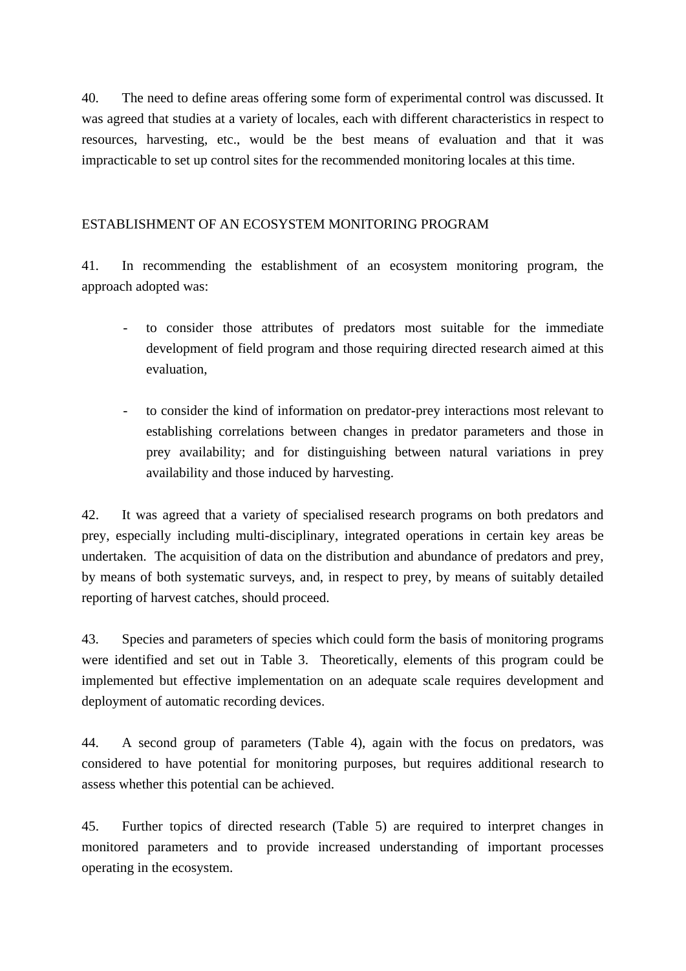40. The need to define areas offering some form of experimental control was discussed. It was agreed that studies at a variety of locales, each with different characteristics in respect to resources, harvesting, etc., would be the best means of evaluation and that it was impracticable to set up control sites for the recommended monitoring locales at this time.

# ESTABLISHMENT OF AN ECOSYSTEM MONITORING PROGRAM

41. In recommending the establishment of an ecosystem monitoring program, the approach adopted was:

- to consider those attributes of predators most suitable for the immediate development of field program and those requiring directed research aimed at this evaluation,
- to consider the kind of information on predator-prey interactions most relevant to establishing correlations between changes in predator parameters and those in prey availability; and for distinguishing between natural variations in prey availability and those induced by harvesting.

42. It was agreed that a variety of specialised research programs on both predators and prey, especially including multi-disciplinary, integrated operations in certain key areas be undertaken. The acquisition of data on the distribution and abundance of predators and prey, by means of both systematic surveys, and, in respect to prey, by means of suitably detailed reporting of harvest catches, should proceed.

43. Species and parameters of species which could form the basis of monitoring programs were identified and set out in Table 3. Theoretically, elements of this program could be implemented but effective implementation on an adequate scale requires development and deployment of automatic recording devices.

44. A second group of parameters (Table 4), again with the focus on predators, was considered to have potential for monitoring purposes, but requires additional research to assess whether this potential can be achieved.

45. Further topics of directed research (Table 5) are required to interpret changes in monitored parameters and to provide increased understanding of important processes operating in the ecosystem.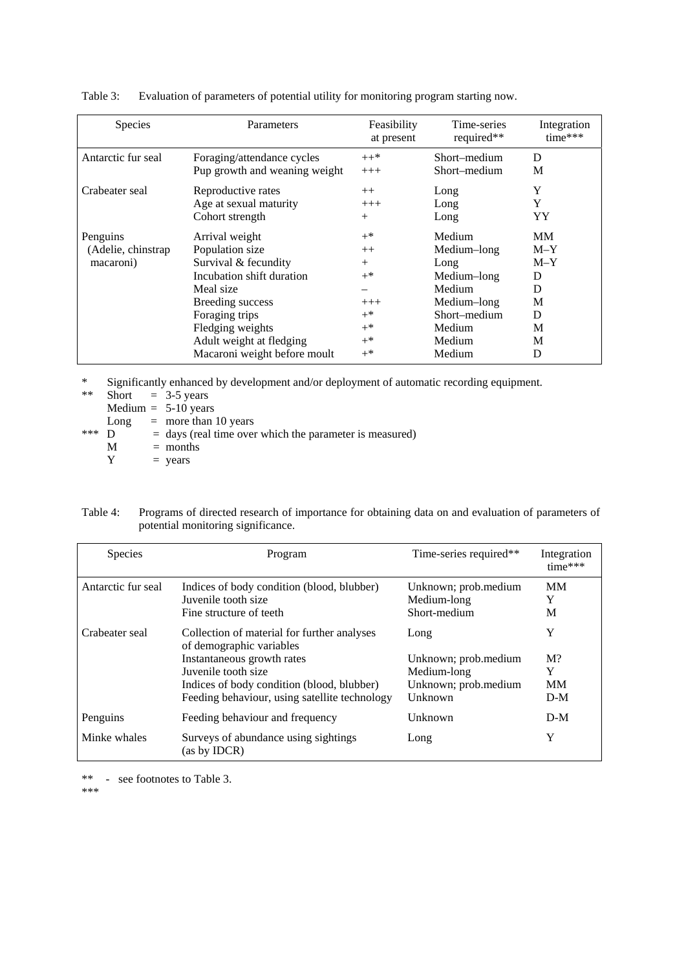| <b>Species</b>      | Parameters                    | Feasibility<br>at present | Time-series<br>required** | Integration<br>$time***$ |
|---------------------|-------------------------------|---------------------------|---------------------------|--------------------------|
| Antarctic fur seal  | Foraging/attendance cycles    | $++*$                     | Short–medium              | D                        |
|                     | Pup growth and weaning weight | $+++$                     | Short–medium              | M                        |
| Crabeater seal      | Reproductive rates            | $++$                      | Long                      | Y                        |
|                     | Age at sexual maturity        | $+++$                     | Long                      | Y                        |
|                     | Cohort strength               | $+$                       | Long                      | YY                       |
| Penguins            | Arrival weight                | $+^*$                     | Medium                    | MМ                       |
| (Adelie, chinstrap) | Population size               | $++$                      | Medium-long               | $M-Y$                    |
| macaroni)           | Survival & fecundity          | $^{+}$                    | Long                      | $M-Y$                    |
|                     | Incubation shift duration     | $+^*$                     | Medium-long               | D                        |
|                     | Meal size                     |                           | Medium                    | D                        |
|                     | Breeding success              | $+++$                     | Medium-long               | M                        |
|                     | Foraging trips                | $+^*$                     | Short–medium              | D                        |
|                     | Fledging weights              | $+^*$                     | Medium                    | M                        |
|                     | Adult weight at fledging      | $+^*$                     | Medium                    | M                        |
|                     | Macaroni weight before moult  | $+^*$                     | Medium                    | D                        |

Table 3: Evaluation of parameters of potential utility for monitoring program starting now.

\* Significantly enhanced by development and/or deployment of automatic recording equipment.

| **  |      | Short $=$ 3-5 years                                       |
|-----|------|-----------------------------------------------------------|
|     |      | Medium $= 5-10$ years                                     |
|     | Long | $=$ more than 10 years                                    |
| *** | D    | $=$ days (real time over which the parameter is measured) |
|     | M    | $=$ months                                                |
|     | Y    | $=$ years                                                 |

| Table 4: | Programs of directed research of importance for obtaining data on and evaluation of parameters of |
|----------|---------------------------------------------------------------------------------------------------|
|          | potential monitoring significance.                                                                |

| <b>Species</b>     | Program                                                                                                                                                                                                                     | Time-series required**                                                         | Integration<br>time***                |
|--------------------|-----------------------------------------------------------------------------------------------------------------------------------------------------------------------------------------------------------------------------|--------------------------------------------------------------------------------|---------------------------------------|
| Antarctic fur seal | Indices of body condition (blood, blubber)<br>Juvenile tooth size<br>Fine structure of teeth                                                                                                                                | Unknown; prob.medium<br>Medium-long<br>Short-medium                            | <b>MM</b><br>Y<br>M                   |
| Crabeater seal     | Collection of material for further analyses<br>of demographic variables<br>Instantaneous growth rates<br>Juvenile tooth size<br>Indices of body condition (blood, blubber)<br>Feeding behaviour, using satellite technology | Long<br>Unknown; prob.medium<br>Medium-long<br>Unknown; prob.medium<br>Unknown | Y<br>$M$ ?<br>Y<br><b>MM</b><br>$D-M$ |
| Penguins           | Feeding behaviour and frequency                                                                                                                                                                                             | Unknown                                                                        | $D-M$                                 |
| Minke whales       | Surveys of abundance using sightings<br>(as by IDCR)                                                                                                                                                                        | Long                                                                           | Y                                     |

\*\* - see footnotes to Table 3.

\*\*\*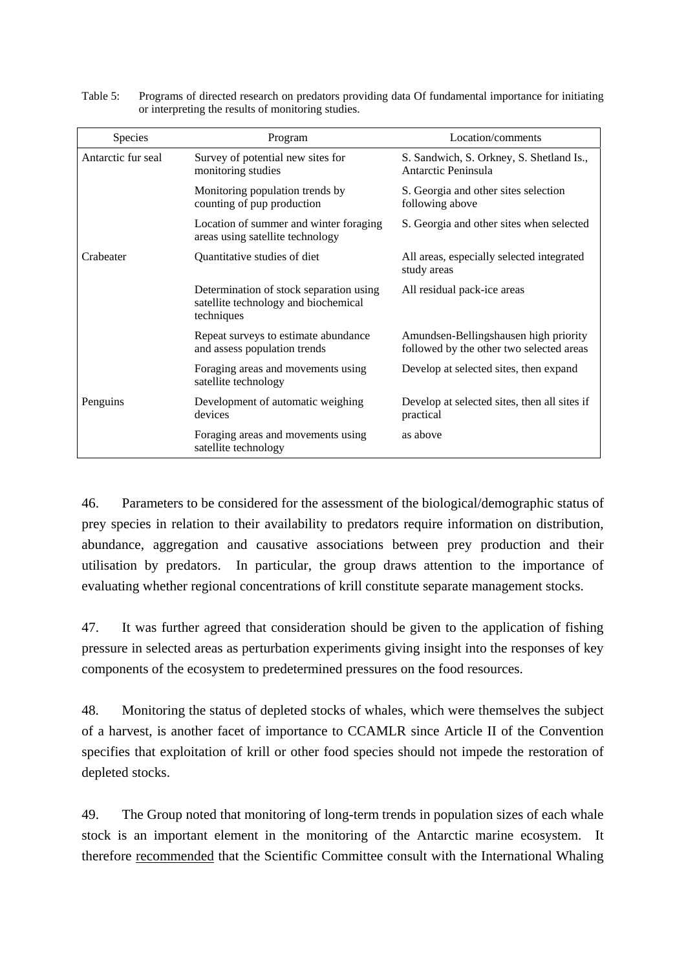| <b>Species</b>     | Program                                                                                       | Location/comments                                                                 |
|--------------------|-----------------------------------------------------------------------------------------------|-----------------------------------------------------------------------------------|
| Antarctic fur seal | Survey of potential new sites for<br>monitoring studies                                       | S. Sandwich, S. Orkney, S. Shetland Is.,<br>Antarctic Peninsula                   |
|                    | Monitoring population trends by<br>counting of pup production                                 | S. Georgia and other sites selection<br>following above                           |
|                    | Location of summer and winter foraging<br>areas using satellite technology                    | S. Georgia and other sites when selected                                          |
| Crabeater          | Quantitative studies of diet                                                                  | All areas, especially selected integrated<br>study areas                          |
|                    | Determination of stock separation using<br>satellite technology and biochemical<br>techniques | All residual pack-ice areas                                                       |
|                    | Repeat surveys to estimate abundance<br>and assess population trends                          | Amundsen-Bellingshausen high priority<br>followed by the other two selected areas |
|                    | Foraging areas and movements using<br>satellite technology                                    | Develop at selected sites, then expand                                            |
| Penguins           | Development of automatic weighing<br>devices                                                  | Develop at selected sites, then all sites if<br>practical                         |
|                    | Foraging areas and movements using<br>satellite technology                                    | as above                                                                          |

Table 5: Programs of directed research on predators providing data Of fundamental importance for initiating or interpreting the results of monitoring studies.

46. Parameters to be considered for the assessment of the biological/demographic status of prey species in relation to their availability to predators require information on distribution, abundance, aggregation and causative associations between prey production and their utilisation by predators. In particular, the group draws attention to the importance of evaluating whether regional concentrations of krill constitute separate management stocks.

47. It was further agreed that consideration should be given to the application of fishing pressure in selected areas as perturbation experiments giving insight into the responses of key components of the ecosystem to predetermined pressures on the food resources.

48. Monitoring the status of depleted stocks of whales, which were themselves the subject of a harvest, is another facet of importance to CCAMLR since Article II of the Convention specifies that exploitation of krill or other food species should not impede the restoration of depleted stocks.

49. The Group noted that monitoring of long-term trends in population sizes of each whale stock is an important element in the monitoring of the Antarctic marine ecosystem. It therefore recommended that the Scientific Committee consult with the International Whaling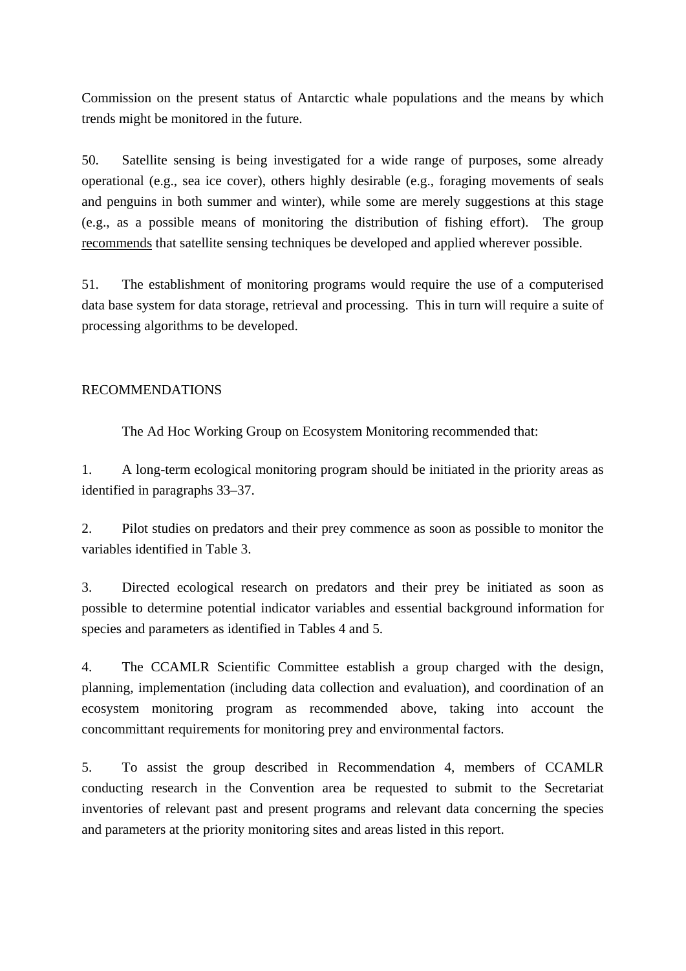Commission on the present status of Antarctic whale populations and the means by which trends might be monitored in the future.

50. Satellite sensing is being investigated for a wide range of purposes, some already operational (e.g., sea ice cover), others highly desirable (e.g., foraging movements of seals and penguins in both summer and winter), while some are merely suggestions at this stage (e.g., as a possible means of monitoring the distribution of fishing effort). The group recommends that satellite sensing techniques be developed and applied wherever possible.

51. The establishment of monitoring programs would require the use of a computerised data base system for data storage, retrieval and processing. This in turn will require a suite of processing algorithms to be developed.

## RECOMMENDATIONS

The Ad Hoc Working Group on Ecosystem Monitoring recommended that:

1. A long-term ecological monitoring program should be initiated in the priority areas as identified in paragraphs 33–37.

2. Pilot studies on predators and their prey commence as soon as possible to monitor the variables identified in Table 3.

3. Directed ecological research on predators and their prey be initiated as soon as possible to determine potential indicator variables and essential background information for species and parameters as identified in Tables 4 and 5.

4. The CCAMLR Scientific Committee establish a group charged with the design, planning, implementation (including data collection and evaluation), and coordination of an ecosystem monitoring program as recommended above, taking into account the concommittant requirements for monitoring prey and environmental factors.

5. To assist the group described in Recommendation 4, members of CCAMLR conducting research in the Convention area be requested to submit to the Secretariat inventories of relevant past and present programs and relevant data concerning the species and parameters at the priority monitoring sites and areas listed in this report.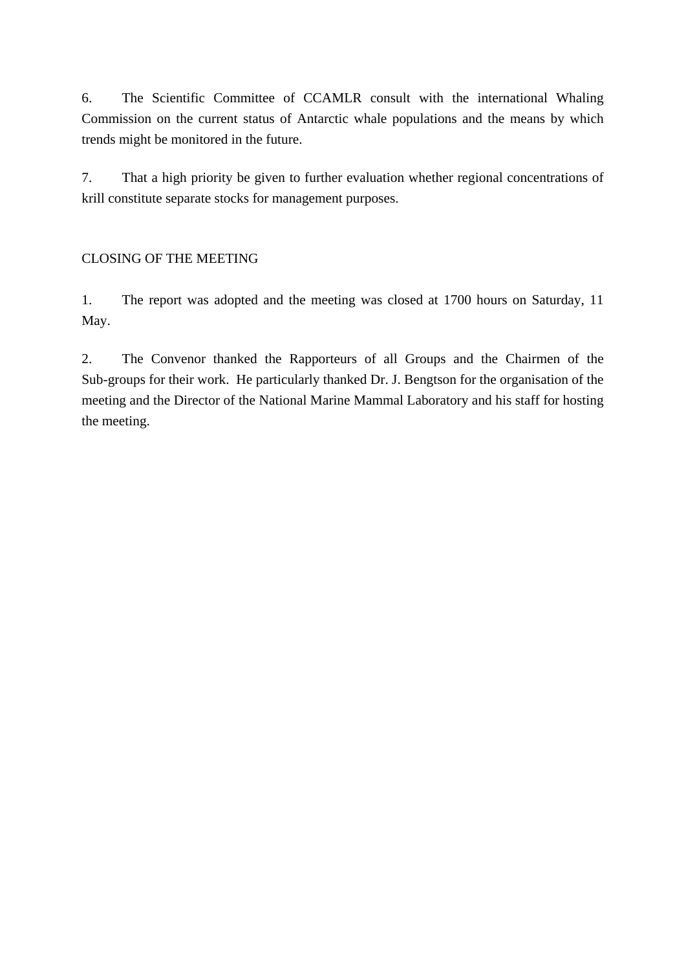6. The Scientific Committee of CCAMLR consult with the international Whaling Commission on the current status of Antarctic whale populations and the means by which trends might be monitored in the future.

7. That a high priority be given to further evaluation whether regional concentrations of krill constitute separate stocks for management purposes.

# CLOSING OF THE MEETING

1. The report was adopted and the meeting was closed at 1700 hours on Saturday, 11 May.

2. The Convenor thanked the Rapporteurs of all Groups and the Chairmen of the Sub-groups for their work. He particularly thanked Dr. J. Bengtson for the organisation of the meeting and the Director of the National Marine Mammal Laboratory and his staff for hosting the meeting.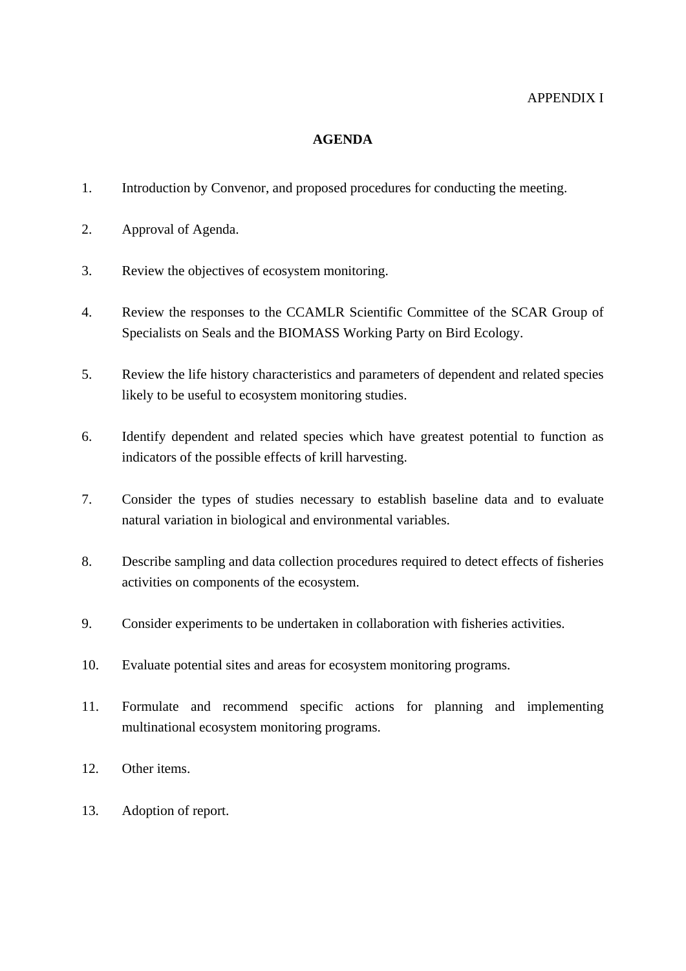# APPENDIX I

## **AGENDA**

- 1. Introduction by Convenor, and proposed procedures for conducting the meeting.
- 2. Approval of Agenda.
- 3. Review the objectives of ecosystem monitoring.
- 4. Review the responses to the CCAMLR Scientific Committee of the SCAR Group of Specialists on Seals and the BIOMASS Working Party on Bird Ecology.
- 5. Review the life history characteristics and parameters of dependent and related species likely to be useful to ecosystem monitoring studies.
- 6. Identify dependent and related species which have greatest potential to function as indicators of the possible effects of krill harvesting.
- 7. Consider the types of studies necessary to establish baseline data and to evaluate natural variation in biological and environmental variables.
- 8. Describe sampling and data collection procedures required to detect effects of fisheries activities on components of the ecosystem.
- 9. Consider experiments to be undertaken in collaboration with fisheries activities.
- 10. Evaluate potential sites and areas for ecosystem monitoring programs.
- 11. Formulate and recommend specific actions for planning and implementing multinational ecosystem monitoring programs.
- 12. Other items.
- 13. Adoption of report.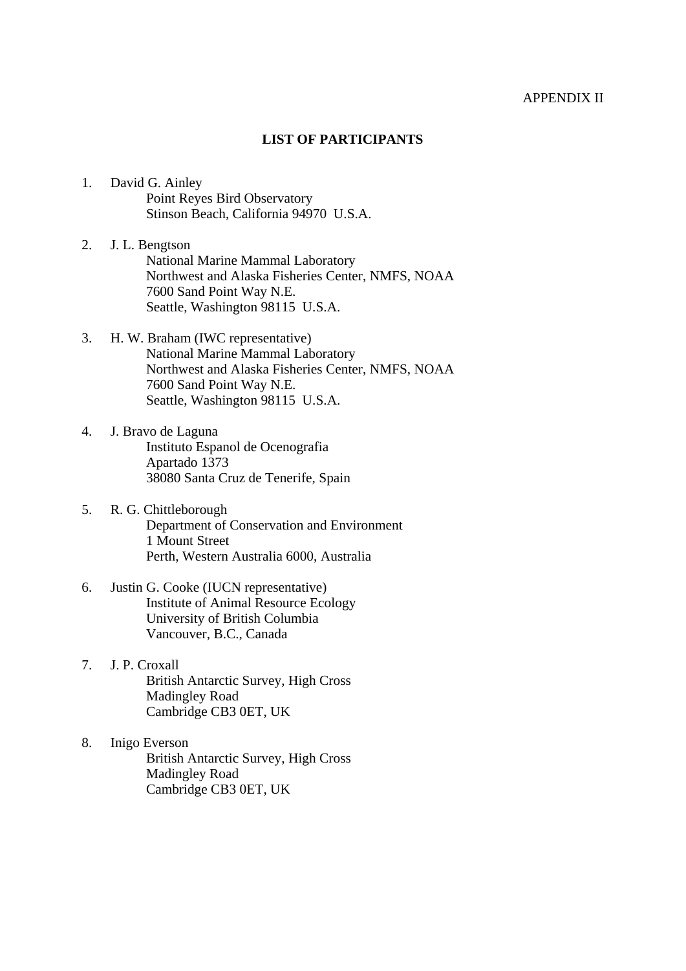### APPENDIX II

### **LIST OF PARTICIPANTS**

- 1. David G. Ainley Point Reyes Bird Observatory Stinson Beach, California 94970 U.S.A.
- 2. J. L. Bengtson National Marine Mammal Laboratory Northwest and Alaska Fisheries Center, NMFS, NOAA 7600 Sand Point Way N.E. Seattle, Washington 98115 U.S.A.
- 3. H. W. Braham (IWC representative) National Marine Mammal Laboratory Northwest and Alaska Fisheries Center, NMFS, NOAA 7600 Sand Point Way N.E. Seattle, Washington 98115 U.S.A.
- 4. J. Bravo de Laguna Instituto Espanol de Ocenografia Apartado 1373 38080 Santa Cruz de Tenerife, Spain
- 5. R. G. Chittleborough Department of Conservation and Environment 1 Mount Street Perth, Western Australia 6000, Australia
- 6. Justin G. Cooke (IUCN representative) Institute of Animal Resource Ecology University of British Columbia Vancouver, B.C., Canada
- 7. J. P. Croxall British Antarctic Survey, High Cross Madingley Road Cambridge CB3 0ET, UK
- 8. Inigo Everson British Antarctic Survey, High Cross Madingley Road Cambridge CB3 0ET, UK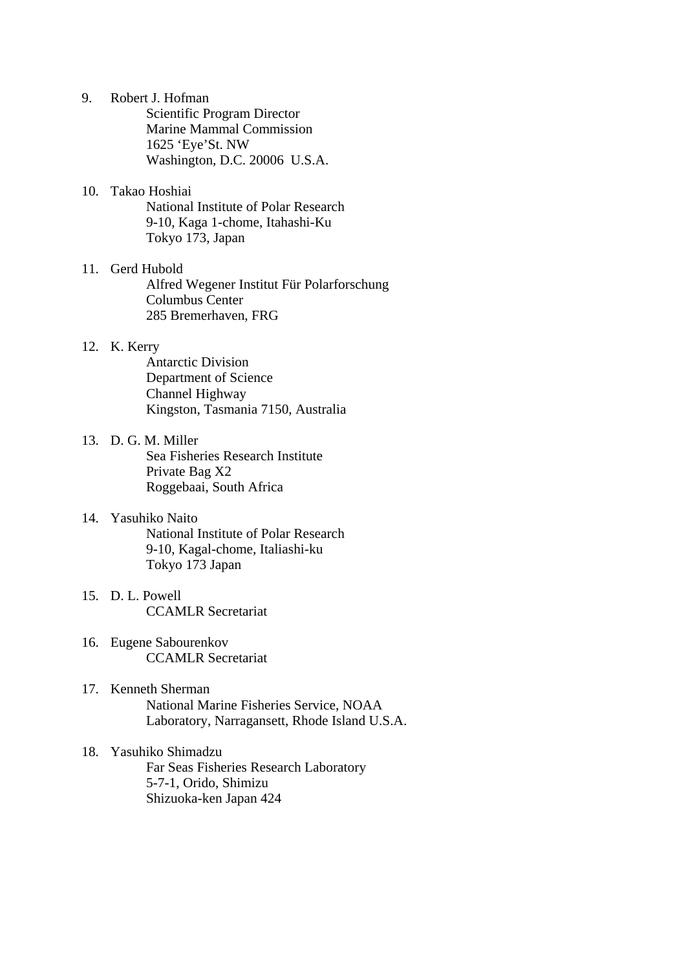- 9. Robert J. Hofman Scientific Program Director Marine Mammal Commission 1625 'Eye'St. NW Washington, D.C. 20006 U.S.A.
- 10. Takao Hoshiai National Institute of Polar Research 9-10, Kaga 1-chome, Itahashi-Ku Tokyo 173, Japan
- 11. Gerd Hubold Alfred Wegener Institut Für Polarforschung Columbus Center 285 Bremerhaven, FRG

## 12. K. Kerry

 Antarctic Division Department of Science Channel Highway Kingston, Tasmania 7150, Australia

- 13. D. G. M. Miller Sea Fisheries Research Institute Private Bag X2 Roggebaai, South Africa
- 14. Yasuhiko Naito National Institute of Polar Research 9-10, Kagal-chome, Italiashi-ku Tokyo 173 Japan
- 15. D. L. Powell CCAMLR Secretariat
- 16. Eugene Sabourenkov CCAMLR Secretariat
- 17. Kenneth Sherman National Marine Fisheries Service, NOAA Laboratory, Narragansett, Rhode Island U.S.A.
- 18. Yasuhiko Shimadzu Far Seas Fisheries Research Laboratory 5-7-1, Orido, Shimizu Shizuoka-ken Japan 424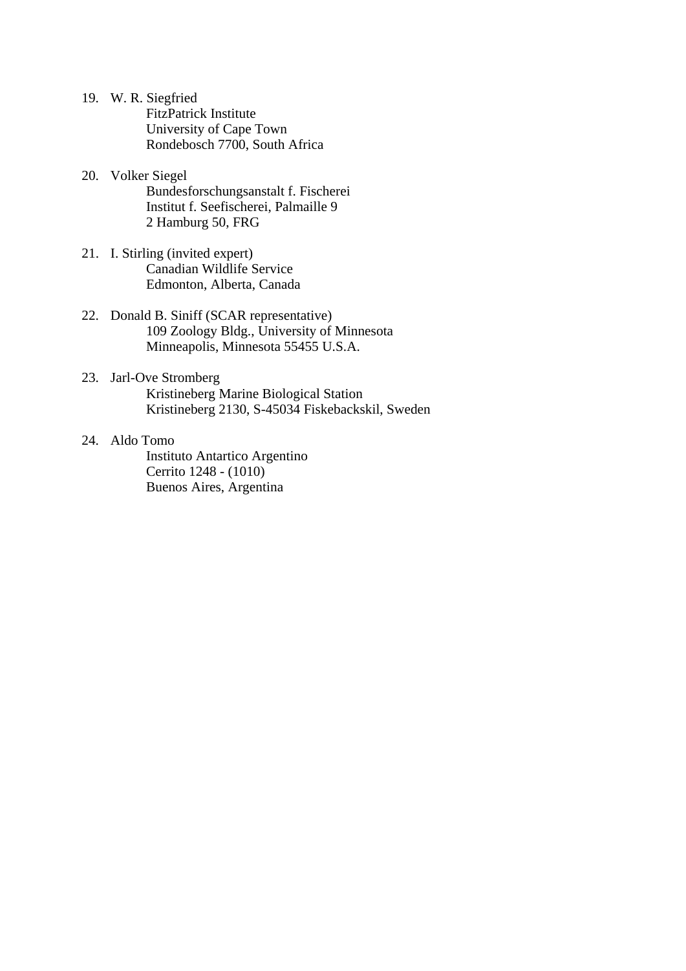- 19. W. R. Siegfried FitzPatrick Institute University of Cape Town Rondebosch 7700, South Africa
- 20. Volker Siegel Bundesforschungsanstalt f. Fischerei Institut f. Seefischerei, Palmaille 9 2 Hamburg 50, FRG
- 21. I. Stirling (invited expert) Canadian Wildlife Service Edmonton, Alberta, Canada
- 22. Donald B. Siniff (SCAR representative) 109 Zoology Bldg., University of Minnesota Minneapolis, Minnesota 55455 U.S.A.
- 23. Jarl-Ove Stromberg Kristineberg Marine Biological Station Kristineberg 2130, S-45034 Fiskebackskil, Sweden
- 24. Aldo Tomo

 Instituto Antartico Argentino Cerrito 1248 - (1010) Buenos Aires, Argentina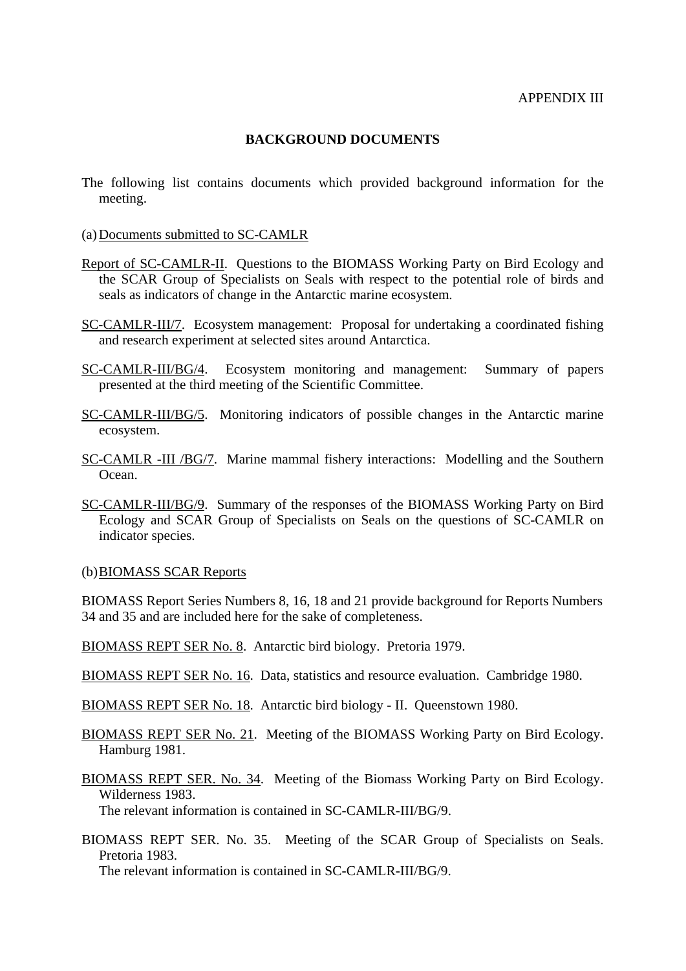## **BACKGROUND DOCUMENTS**

- The following list contains documents which provided background information for the meeting.
- (a) Documents submitted to SC-CAMLR
- Report of SC-CAMLR-II. Questions to the BIOMASS Working Party on Bird Ecology and the SCAR Group of Specialists on Seals with respect to the potential role of birds and seals as indicators of change in the Antarctic marine ecosystem.
- SC-CAMLR-III/7. Ecosystem management: Proposal for undertaking a coordinated fishing and research experiment at selected sites around Antarctica.
- SC-CAMLR-III/BG/4. Ecosystem monitoring and management: Summary of papers presented at the third meeting of the Scientific Committee.
- SC-CAMLR-III/BG/5. Monitoring indicators of possible changes in the Antarctic marine ecosystem.
- SC-CAMLR -III /BG/7. Marine mammal fishery interactions: Modelling and the Southern Ocean.
- SC-CAMLR-III/BG/9. Summary of the responses of the BIOMASS Working Party on Bird Ecology and SCAR Group of Specialists on Seals on the questions of SC-CAMLR on indicator species.

#### (b) BIOMASS SCAR Reports

BIOMASS Report Series Numbers 8, 16, 18 and 21 provide background for Reports Numbers 34 and 35 and are included here for the sake of completeness.

- BIOMASS REPT SER No. 8. Antarctic bird biology. Pretoria 1979.
- BIOMASS REPT SER No. 16. Data, statistics and resource evaluation. Cambridge 1980.
- BIOMASS REPT SER No. 18. Antarctic bird biology II. Queenstown 1980.
- BIOMASS REPT SER No. 21. Meeting of the BIOMASS Working Party on Bird Ecology. Hamburg 1981.
- BIOMASS REPT SER. No. 34. Meeting of the Biomass Working Party on Bird Ecology. Wilderness 1983.

The relevant information is contained in SC-CAMLR-III/BG/9.

BIOMASS REPT SER. No. 35. Meeting of the SCAR Group of Specialists on Seals. Pretoria 1983.

The relevant information is contained in SC-CAMLR-III/BG/9.